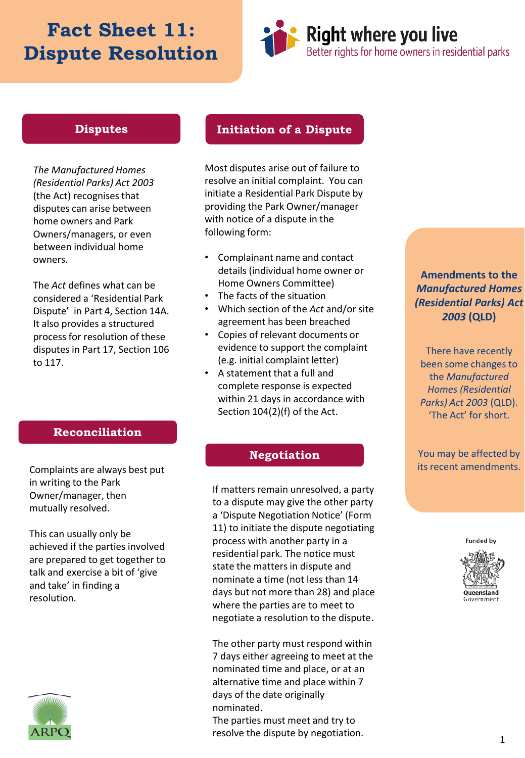# **Fact Sheet 11: Dispute Resolution**



### **Disputes**

*The Manufactured Homes (Residential Parks) Act 2003*  (the Act) recognises that disputes can arise between home owners and Park Owners/managers, or even between individual home owners.

The *Act* defines what can be considered a 'Residential Park Dispute' in Part 4, Section 14A. It also provides a structured process for resolution of these disputes in Part 17, Section 106 to 117.

### **Initiation of a Dispute**

Most disputes arise out of failure to resolve an initial complaint. You can initiate a Residential Park Dispute by providing the Park Owner/manager with notice of a dispute in the following form:

- Complainant name and contact details (individual home owner or Home Owners Committee)
- The facts of the situation
- Which section of the *Act* and/or site agreement has been breached
- Copies of relevant documents or evidence to support the complaint (e.g. initial complaint letter)
- A statement that a full and complete response is expected within 21 days in accordance with Section 104(2)(f) of the Act.

### **Reconciliation**

Complaints are always best put in writing to the Park Owner/manager, then mutually resolved.

This can usually only be achieved if the parties involved are prepared to get together to talk and exercise a bit of 'give and take' in finding a resolution.



### **Negotiation**

If matters remain unresolved, a party to a dispute may give the other party a 'Dispute Negotiation Notice' (Form 11) to initiate the dispute negotiating process with another party in a residential park. The notice must state the matters in dispute and nominate a time (not less than 14 days but not more than 28) and place where the parties are to meet to negotiate a resolution to the dispute.

The other party must respond within 7 days either agreeing to meet at the nominated time and place, or at an alternative time and place within 7 days of the date originally nominated. The parties must meet and try to resolve the dispute by negotiation.

**Amendments to the**  *Manufactured Homes (Residential Parks) Act 2003* **(QLD)**

There have recently been some changes to the *Manufactured Homes (Residential Parks) Act 2003* (QLD). 'The Act' for short.

You may be affected by its recent amendments.

**Funded by** 

**Queensland** iovernment